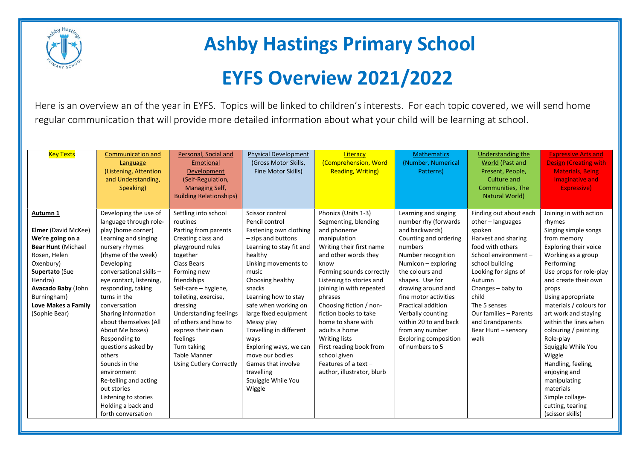

## Ashby Hastings Primary School

## EYFS Overview 2021/2022

Here is an overview an of the year in EYFS. Topics will be linked to children's interests. For each topic covered, we will send home regular communication that will provide more detailed information about what your child will be learning at school.

| <b>Key Texts</b>                                                                                                                                                                                                               | <b>Communication and</b><br>Language<br>(Listening, Attention<br>and Understanding,<br>Speaking)                                                                                                                                                                                                                                                                                                                                                                                                                                 | Personal, Social and<br>Emotional<br>Development<br>(Self-Regulation,<br><b>Managing Self,</b><br><b>Building Relationships)</b>                                                                                                                                                                                                                                                   | <b>Physical Development</b><br>(Gross Motor Skills,<br>Fine Motor Skills)                                                                                                                                                                                                                                                                                                                                                          | Literacy<br>(Comprehension, Word<br><b>Reading, Writing)</b>                                                                                                                                                                                                                                                                                                                                                                                                | <b>Mathematics</b><br>(Number, Numerical<br>Patterns)                                                                                                                                                                                                                                                                                                                          | Understanding the<br><b>World</b> (Past and<br>Present, People,<br><b>Culture and</b><br>Communities, The<br>Natural World)                                                                                                                                                                                | <b>Expressive Arts and</b><br><b>Design (Creating with</b><br><b>Materials, Being</b><br><b>Imaginative and</b><br>Expressive)                                                                                                                                                                                                                                                                                                                                                                       |
|--------------------------------------------------------------------------------------------------------------------------------------------------------------------------------------------------------------------------------|----------------------------------------------------------------------------------------------------------------------------------------------------------------------------------------------------------------------------------------------------------------------------------------------------------------------------------------------------------------------------------------------------------------------------------------------------------------------------------------------------------------------------------|------------------------------------------------------------------------------------------------------------------------------------------------------------------------------------------------------------------------------------------------------------------------------------------------------------------------------------------------------------------------------------|------------------------------------------------------------------------------------------------------------------------------------------------------------------------------------------------------------------------------------------------------------------------------------------------------------------------------------------------------------------------------------------------------------------------------------|-------------------------------------------------------------------------------------------------------------------------------------------------------------------------------------------------------------------------------------------------------------------------------------------------------------------------------------------------------------------------------------------------------------------------------------------------------------|--------------------------------------------------------------------------------------------------------------------------------------------------------------------------------------------------------------------------------------------------------------------------------------------------------------------------------------------------------------------------------|------------------------------------------------------------------------------------------------------------------------------------------------------------------------------------------------------------------------------------------------------------------------------------------------------------|------------------------------------------------------------------------------------------------------------------------------------------------------------------------------------------------------------------------------------------------------------------------------------------------------------------------------------------------------------------------------------------------------------------------------------------------------------------------------------------------------|
| Autumn 1<br><b>Elmer</b> (David McKee)<br>We're going on a<br><b>Bear Hunt (Michael</b><br>Rosen, Helen<br>Oxenbury)<br>Supertato (Sue<br>Hendra)<br>Avacado Baby (John<br>Burningham)<br>Love Makes a Family<br>(Sophie Bear) | Developing the use of<br>language through role-<br>play (home corner)<br>Learning and singing<br>nursery rhymes<br>(rhyme of the week)<br>Developing<br>conversational skills -<br>eye contact, listening,<br>responding, taking<br>turns in the<br>conversation<br>Sharing information<br>about themselves (All<br>About Me boxes)<br>Responding to<br>questions asked by<br>others<br>Sounds in the<br>environment<br>Re-telling and acting<br>out stories<br>Listening to stories<br>Holding a back and<br>forth conversation | Settling into school<br>routines<br>Parting from parents<br>Creating class and<br>playground rules<br>together<br>Class Bears<br>Forming new<br>friendships<br>Self-care - hygiene,<br>toileting, exercise,<br>dressing<br>Understanding feelings<br>of others and how to<br>express their own<br>feelings<br>Turn taking<br><b>Table Manner</b><br><b>Using Cutlery Correctly</b> | Scissor control<br>Pencil control<br>Fastening own clothing<br>- zips and buttons<br>Learning to stay fit and<br>healthy<br>Linking movements to<br>music<br>Choosing healthy<br>snacks<br>Learning how to stay<br>safe when working on<br>large fixed equipment<br>Messy play<br>Travelling in different<br>ways<br>Exploring ways, we can<br>move our bodies<br>Games that involve<br>travelling<br>Squiggle While You<br>Wiggle | Phonics (Units 1-3)<br>Segmenting, blending<br>and phoneme<br>manipulation<br>Writing their first name<br>and other words they<br>know<br>Forming sounds correctly<br>Listening to stories and<br>joining in with repeated<br>phrases<br>Choosing fiction / non-<br>fiction books to take<br>home to share with<br>adults a home<br><b>Writing lists</b><br>First reading book from<br>school given<br>Features of a text $-$<br>author, illustrator, blurb | Learning and singing<br>number rhy (forwards<br>and backwards)<br>Counting and ordering<br>numbers<br>Number recognition<br>Numicon - exploring<br>the colours and<br>shapes. Use for<br>drawing around and<br>fine motor activities<br>Practical addition<br>Verbally counting<br>within 20 to and back<br>from any number<br><b>Exploring composition</b><br>of numbers to 5 | Finding out about each<br>other $-$ languages<br>spoken<br>Harvest and sharing<br>food with others<br>School environment -<br>school building<br>Looking for signs of<br>Autumn<br>Changes - baby to<br>child<br>The 5 senses<br>Our families - Parents<br>and Grandparents<br>Bear Hunt - sensory<br>walk | Joining in with action<br>rhymes<br>Singing simple songs<br>from memory<br>Exploring their voice<br>Working as a group<br>Performing<br>Use props for role-play<br>and create their own<br>props<br>Using appropriate<br>materials / colours for<br>art work and staying<br>within the lines when<br>colouring / painting<br>Role-play<br>Squiggle While You<br>Wiggle<br>Handling, feeling,<br>enjoying and<br>manipulating<br>materials<br>Simple collage-<br>cutting, tearing<br>(scissor skills) |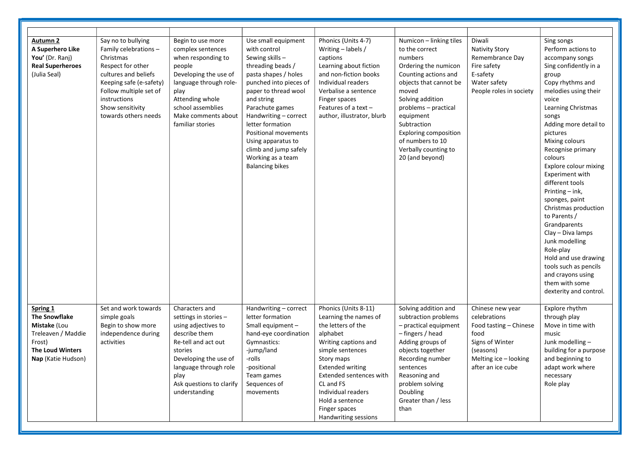| <b>Autumn 2</b><br>A Superhero Like<br>You' (Dr. Ranj)<br><b>Real Superheroes</b><br>(Julia Seal)                                 | Say no to bullying<br>Family celebrations -<br>Christmas<br>Respect for other<br>cultures and beliefs<br>Keeping safe (e-safety)<br>Follow multiple set of<br>instructions<br>Show sensitivity<br>towards others needs | Begin to use more<br>complex sentences<br>when responding to<br>people<br>Developing the use of<br>language through role-<br>play<br>Attending whole<br>school assemblies<br>Make comments about<br>familiar stories     | Use small equipment<br>with control<br>Sewing skills -<br>threading beads /<br>pasta shapes / holes<br>punched into pieces of<br>paper to thread wool<br>and string<br>Parachute games<br>Handwriting - correct<br>letter formation<br>Positional movements<br>Using apparatus to<br>climb and jump safely<br>Working as a team<br><b>Balancing bikes</b> | Phonics (Units 4-7)<br>Writing $-$ labels /<br>captions<br>Learning about fiction<br>and non-fiction books<br>Individual readers<br>Verbalise a sentence<br>Finger spaces<br>Features of a text-<br>author, illustrator, blurb                                                                 | Numicon - linking tiles<br>to the correct<br>numbers<br>Ordering the numicon<br>Counting actions and<br>objects that cannot be<br>moved<br>Solving addition<br>problems - practical<br>equipment<br>Subtraction<br><b>Exploring composition</b><br>of numbers to 10<br>Verbally counting to<br>20 (and beyond) | Diwali<br><b>Nativity Story</b><br>Remembrance Day<br>Fire safety<br>E-safety<br>Water safety<br>People roles in society                         | Sing songs<br>Perform actions to<br>accompany songs<br>Sing confidently in a<br>group<br>Copy rhythms and<br>melodies using their<br>voice<br>Learning Christmas<br>songs<br>Adding more detail to<br>pictures<br>Mixing colours<br>Recognise primary<br>colours<br>Explore colour mixing<br>Experiment with<br>different tools<br>Printing - ink,<br>sponges, paint<br>Christmas production<br>to Parents /<br>Grandparents<br>Clay - Diva lamps<br>Junk modelling<br>Role-play<br>Hold and use drawing<br>tools such as pencils<br>and crayons using<br>them with some<br>dexterity and control. |
|-----------------------------------------------------------------------------------------------------------------------------------|------------------------------------------------------------------------------------------------------------------------------------------------------------------------------------------------------------------------|--------------------------------------------------------------------------------------------------------------------------------------------------------------------------------------------------------------------------|-----------------------------------------------------------------------------------------------------------------------------------------------------------------------------------------------------------------------------------------------------------------------------------------------------------------------------------------------------------|------------------------------------------------------------------------------------------------------------------------------------------------------------------------------------------------------------------------------------------------------------------------------------------------|----------------------------------------------------------------------------------------------------------------------------------------------------------------------------------------------------------------------------------------------------------------------------------------------------------------|--------------------------------------------------------------------------------------------------------------------------------------------------|----------------------------------------------------------------------------------------------------------------------------------------------------------------------------------------------------------------------------------------------------------------------------------------------------------------------------------------------------------------------------------------------------------------------------------------------------------------------------------------------------------------------------------------------------------------------------------------------------|
| Spring 1<br><b>The Snowflake</b><br>Mistake (Lou<br>Treleaven / Maddie<br>Frost)<br><b>The Loud Winters</b><br>Nap (Katie Hudson) | Set and work towards<br>simple goals<br>Begin to show more<br>independence during<br>activities                                                                                                                        | Characters and<br>settings in stories -<br>using adjectives to<br>describe them<br>Re-tell and act out<br>stories<br>Developing the use of<br>language through role<br>play<br>Ask questions to clarify<br>understanding | Handwriting - correct<br>letter formation<br>Small equipment -<br>hand-eye coordination<br>Gymnastics:<br>-jump/land<br>-rolls<br>-positional<br>Team games<br>Sequences of<br>movements                                                                                                                                                                  | Phonics (Units 8-11)<br>Learning the names of<br>the letters of the<br>alphabet<br>Writing captions and<br>simple sentences<br>Story maps<br><b>Extended writing</b><br>Extended sentences with<br>CL and FS<br>Individual readers<br>Hold a sentence<br>Finger spaces<br>Handwriting sessions | Solving addition and<br>subtraction problems<br>- practical equipment<br>- fingers / head<br>Adding groups of<br>objects together<br>Recording number<br>sentences<br>Reasoning and<br>problem solving<br>Doubling<br>Greater than / less<br>than                                                              | Chinese new year<br>celebrations<br>Food tasting - Chinese<br>food<br>Signs of Winter<br>(seasons)<br>Melting ice - looking<br>after an ice cube | Explore rhythm<br>through play<br>Move in time with<br>music<br>Junk modelling -<br>building for a purpose<br>and beginning to<br>adapt work where<br>necessary<br>Role play                                                                                                                                                                                                                                                                                                                                                                                                                       |